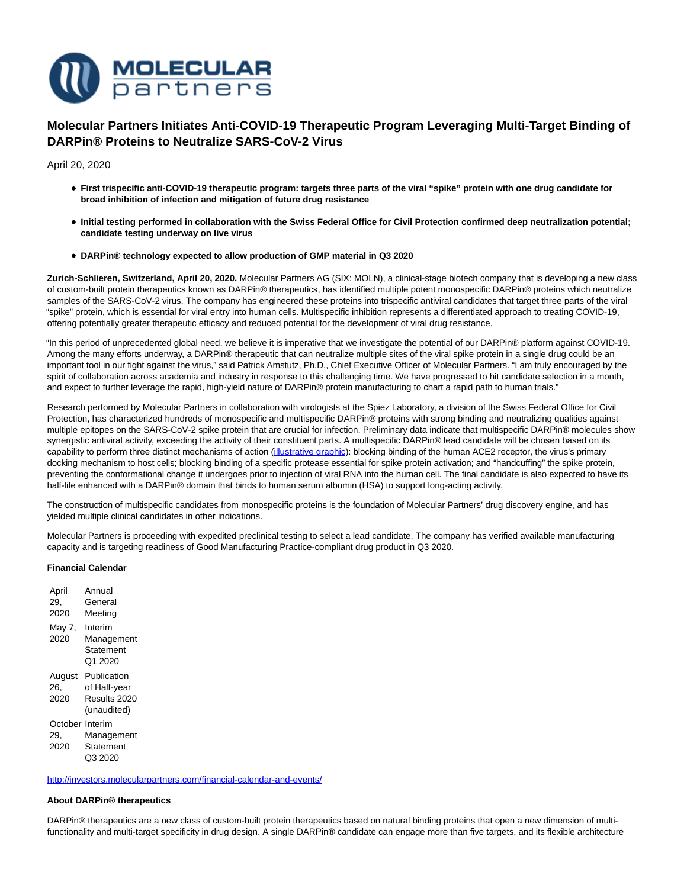

# **Molecular Partners Initiates Anti-COVID-19 Therapeutic Program Leveraging Multi-Target Binding of DARPin® Proteins to Neutralize SARS-CoV-2 Virus**

April 20, 2020

- **First trispecific anti-COVID-19 therapeutic program: targets three parts of the viral "spike" protein with one drug candidate for broad inhibition of infection and mitigation of future drug resistance**
- **Initial testing performed in collaboration with the Swiss Federal Office for Civil Protection confirmed deep neutralization potential; candidate testing underway on live virus**
- **DARPin® technology expected to allow production of GMP material in Q3 2020**

**Zurich-Schlieren, Switzerland, April 20, 2020.** Molecular Partners AG (SIX: MOLN), a clinical-stage biotech company that is developing a new class of custom-built protein therapeutics known as DARPin® therapeutics, has identified multiple potent monospecific DARPin® proteins which neutralize samples of the SARS-CoV-2 virus. The company has engineered these proteins into trispecific antiviral candidates that target three parts of the viral "spike" protein, which is essential for viral entry into human cells. Multispecific inhibition represents a differentiated approach to treating COVID-19, offering potentially greater therapeutic efficacy and reduced potential for the development of viral drug resistance.

"In this period of unprecedented global need, we believe it is imperative that we investigate the potential of our DARPin® platform against COVID-19. Among the many efforts underway, a DARPin® therapeutic that can neutralize multiple sites of the viral spike protein in a single drug could be an important tool in our fight against the virus," said Patrick Amstutz, Ph.D., Chief Executive Officer of Molecular Partners. "I am truly encouraged by the spirit of collaboration across academia and industry in response to this challenging time. We have progressed to hit candidate selection in a month, and expect to further leverage the rapid, high-yield nature of DARPin® protein manufacturing to chart a rapid path to human trials."

Research performed by Molecular Partners in collaboration with virologists at the Spiez Laboratory, a division of the Swiss Federal Office for Civil Protection, has characterized hundreds of monospecific and multispecific DARPin® proteins with strong binding and neutralizing qualities against multiple epitopes on the SARS-CoV-2 spike protein that are crucial for infection. Preliminary data indicate that multispecific DARPin® molecules show synergistic antiviral activity, exceeding the activity of their constituent parts. A multispecific DARPin® lead candidate will be chosen based on its capability to perform three distinct mechanisms of action [\(illustrative graphic\):](https://www.molecularpartners.com/wp-content/uploads/MP-Illustration-CovidDARPin-Program.jpg) blocking binding of the human ACE2 receptor, the virus's primary docking mechanism to host cells; blocking binding of a specific protease essential for spike protein activation; and "handcuffing" the spike protein, preventing the conformational change it undergoes prior to injection of viral RNA into the human cell. The final candidate is also expected to have its half-life enhanced with a DARPin® domain that binds to human serum albumin (HSA) to support long-acting activity.

The construction of multispecific candidates from monospecific proteins is the foundation of Molecular Partners' drug discovery engine, and has yielded multiple clinical candidates in other indications.

Molecular Partners is proceeding with expedited preclinical testing to select a lead candidate. The company has verified available manufacturing capacity and is targeting readiness of Good Manufacturing Practice-compliant drug product in Q3 2020.

# **Financial Calendar**

| April                 | Annual                                                     |
|-----------------------|------------------------------------------------------------|
| 29.                   | General                                                    |
| 2020                  | Meeting                                                    |
| May 7,<br>2020        | Interim<br>Management<br>Statement<br>Q1 2020              |
| August<br>26.<br>2020 | Publication<br>of Half-year<br>Results 2020<br>(unaudited) |
| October Interim       | Management                                                 |
| 29,                   | Statement                                                  |
| 2020                  | Q3 2020                                                    |

<http://investors.molecularpartners.com/financial-calendar-and-events/>

#### **About DARPin® therapeutics**

DARPin® therapeutics are a new class of custom-built protein therapeutics based on natural binding proteins that open a new dimension of multifunctionality and multi-target specificity in drug design. A single DARPin® candidate can engage more than five targets, and its flexible architecture